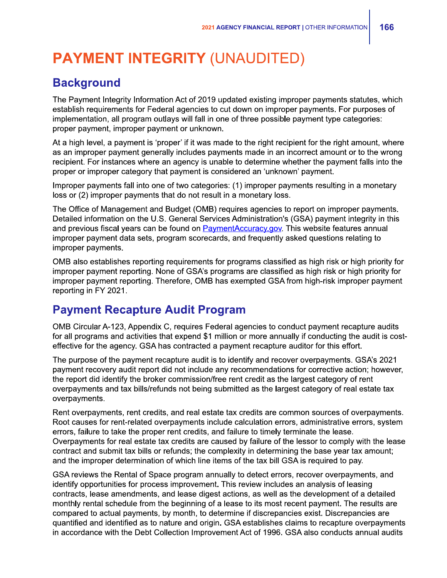## **PAYMENT INTEGRITY (UNAUDITED)**

## **Background**

The Payment Integrity Information Act of 2019 updated existing improper payments statutes, which establish requirements for Federal agencies to cut down on improper payments. For purposes of implementation, all program outlays will fall in one of three possible payment type categories: proper payment, improper payment or unknown.

At a high level, a payment is 'proper' if it was made to the right recipient for the right amount, where as an improper payment generally includes payments made in an incorrect amount or to the wrong recipient. For instances where an agency is unable to determine whether the payment falls into the proper or improper category that payment is considered an 'unknown' payment.

Improper payments fall into one of two categories: (1) improper payments resulting in a monetary loss or (2) improper payments that do not result in a monetary loss.

The Office of Management and Budget (0MB) requires agencies to report on improper payments. Detailed information on the U.S. General Services Administration's (GSA) payment integrity in this and previous fiscal years can be found on PaymentAccuracy.gov. This website features annual improper payment data sets, program scorecards, and frequently asked questions relating to improper payments.

0MB also establishes reporting requirements for programs classified as high risk or high priority for improper payment reporting. None of GSA's programs are classified as high risk or high priority for improper payment reporting. Therefore, 0MB has exempted GSA from high-risk improper payment reporting in FY 2021.

## **Payment Recapture Audit Program**

0MB Circular A-123, Appendix C, requires Federal agencies to conduct payment recapture audits for all programs and activities that expend \$1 million or more annually if conducting the audit is costeffective for the agency. GSA has contracted a payment recapture auditor for this effort.

The purpose of the payment recapture audit is to identify and recover overpayments. GSA's 2021 payment recovery audit report did not include any recommendations for corrective action; however, the report did identify the broker commission/free rent credit as the largest category of rent overpayments and tax bills/refunds not being submitted as the largest category of real estate tax overpayments.

Rent overpayments, rent credits, and real estate tax credits are common sources of overpayments. Root causes for rent-related overpayments include calculation errors, administrative errors, system errors, failure to take the proper rent credits, and failure to timely terminate the lease. Overpayments for real estate tax credits are caused by failure of the lessor to comply with the lease contract and submit tax bills or refunds; the complexity in determining the base year tax amount; and the improper determination of which line items of the tax bill GSA is required to pay.

GSA reviews the Rental of Space program annually to detect errors, recover overpayments, and identify opportunities for process improvement. This review includes an analysis of leasing contracts, lease amendments, and lease digest actions, as well as the development of a detailed monthly rental schedule from the beginning of a lease to its most recent payment. The results are compared to actual payments, by month, to determine if discrepancies exist. Discrepancies are quantified and identified as to nature and origin. GSA establishes claims to recapture overpayments in accordance with the Debt Collection Improvement Act of 1996. GSA also conducts annual audits